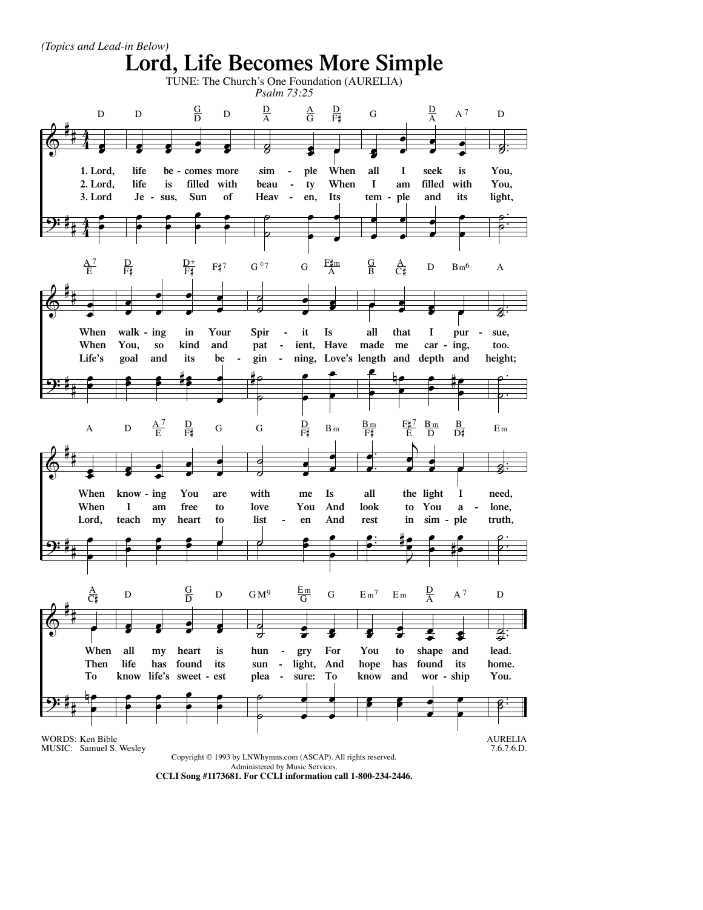

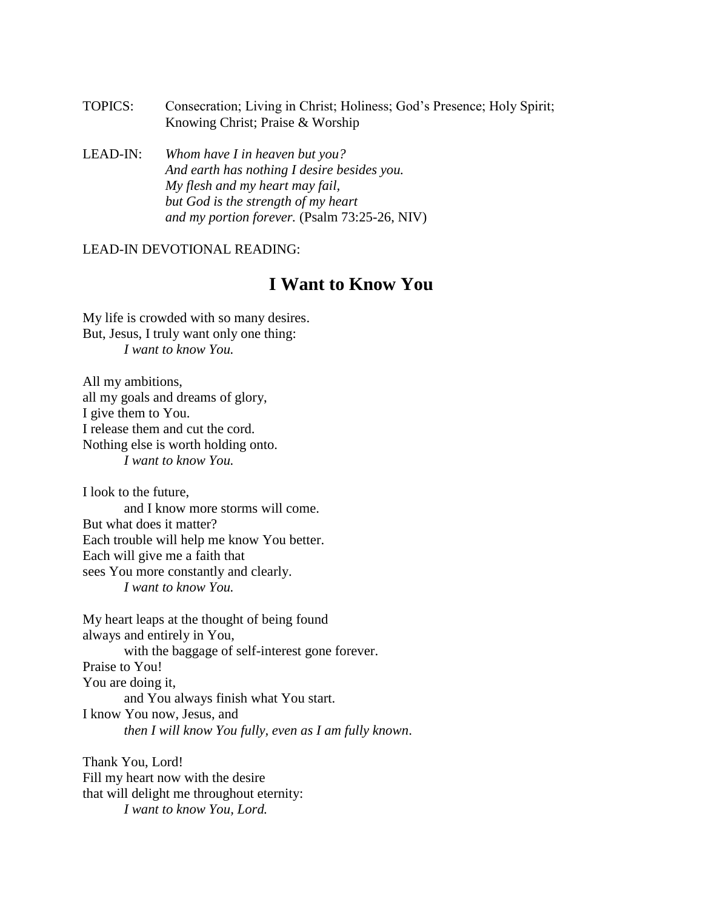- TOPICS: Consecration; Living in Christ; Holiness; God's Presence; Holy Spirit; Knowing Christ; Praise & Worship
- LEAD-IN: *Whom have I in heaven but you? And earth has nothing I desire besides you. My flesh and my heart may fail, but God is the strength of my heart and my portion forever.* (Psalm 73:25-26, NIV)

## LEAD-IN DEVOTIONAL READING:

## **I Want to Know You**

My life is crowded with so many desires. But, Jesus, I truly want only one thing: *I want to know You.*

All my ambitions, all my goals and dreams of glory, I give them to You. I release them and cut the cord. Nothing else is worth holding onto. *I want to know You.*

I look to the future, and I know more storms will come. But what does it matter? Each trouble will help me know You better. Each will give me a faith that sees You more constantly and clearly. *I want to know You.*

My heart leaps at the thought of being found always and entirely in You, with the baggage of self-interest gone forever. Praise to You! You are doing it, and You always finish what You start. I know You now, Jesus, and *then I will know You fully, even as I am fully known*.

Thank You, Lord! Fill my heart now with the desire that will delight me throughout eternity: *I want to know You, Lord.*